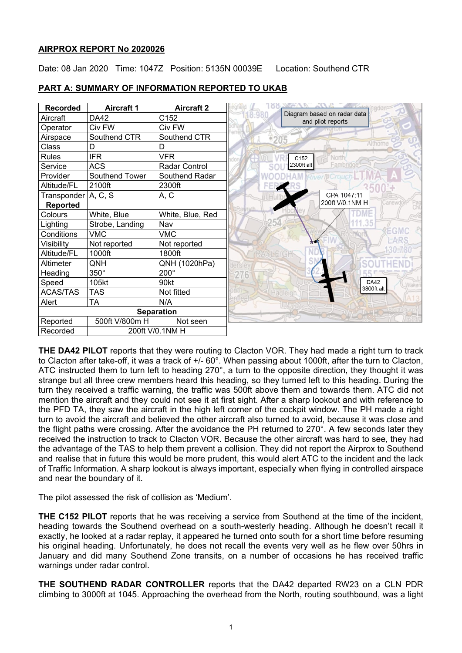## **AIRPROX REPORT No 2020026**

Date: 08 Jan 2020 Time: 1047Z Position: 5135N 00039E Location: Southend CTR



### **PART A: SUMMARY OF INFORMATION REPORTED TO UKAB**

**THE DA42 PILOT** reports that they were routing to Clacton VOR. They had made a right turn to track to Clacton after take-off, it was a track of +/- 60°. When passing about 1000ft, after the turn to Clacton, ATC instructed them to turn left to heading 270°, a turn to the opposite direction, they thought it was strange but all three crew members heard this heading, so they turned left to this heading. During the turn they received a traffic warning, the traffic was 500ft above them and towards them. ATC did not mention the aircraft and they could not see it at first sight. After a sharp lookout and with reference to the PFD TA, they saw the aircraft in the high left corner of the cockpit window. The PH made a right turn to avoid the aircraft and believed the other aircraft also turned to avoid, because it was close and the flight paths were crossing. After the avoidance the PH returned to 270°. A few seconds later they received the instruction to track to Clacton VOR. Because the other aircraft was hard to see, they had the advantage of the TAS to help them prevent a collision. They did not report the Airprox to Southend and realise that in future this would be more prudent, this would alert ATC to the incident and the lack of Traffic Information. A sharp lookout is always important, especially when flying in controlled airspace and near the boundary of it.

The pilot assessed the risk of collision as 'Medium'.

**THE C152 PILOT** reports that he was receiving a service from Southend at the time of the incident, heading towards the Southend overhead on a south-westerly heading. Although he doesn't recall it exactly, he looked at a radar replay, it appeared he turned onto south for a short time before resuming his original heading. Unfortunately, he does not recall the events very well as he flew over 50hrs in January and did many Southend Zone transits, on a number of occasions he has received traffic warnings under radar control.

**THE SOUTHEND RADAR CONTROLLER** reports that the DA42 departed RW23 on a CLN PDR climbing to 3000ft at 1045. Approaching the overhead from the North, routing southbound, was a light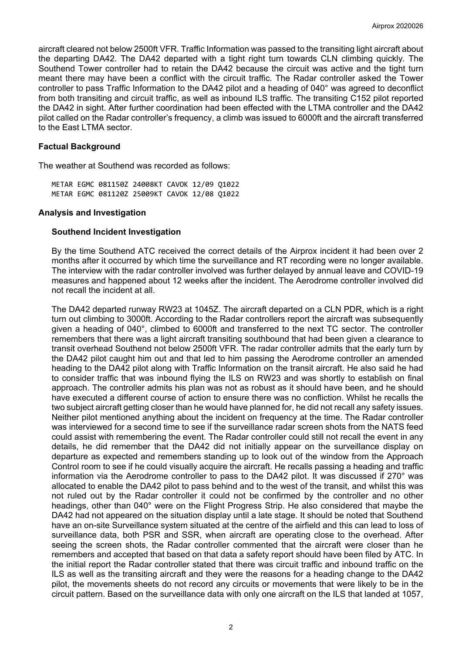aircraft cleared not below 2500ft VFR. Traffic Information was passed to the transiting light aircraft about the departing DA42. The DA42 departed with a tight right turn towards CLN climbing quickly. The Southend Tower controller had to retain the DA42 because the circuit was active and the tight turn meant there may have been a conflict with the circuit traffic. The Radar controller asked the Tower controller to pass Traffic Information to the DA42 pilot and a heading of 040° was agreed to deconflict from both transiting and circuit traffic, as well as inbound ILS traffic. The transiting C152 pilot reported the DA42 in sight. After further coordination had been effected with the LTMA controller and the DA42 pilot called on the Radar controller's frequency, a climb was issued to 6000ft and the aircraft transferred to the East LTMA sector.

### **Factual Background**

The weather at Southend was recorded as follows:

METAR EGMC 081150Z 24008KT CAVOK 12/09 Q1022 METAR EGMC 081120Z 25009KT CAVOK 12/08 Q1022

### **Analysis and Investigation**

### **Southend Incident Investigation**

By the time Southend ATC received the correct details of the Airprox incident it had been over 2 months after it occurred by which time the surveillance and RT recording were no longer available. The interview with the radar controller involved was further delayed by annual leave and COVID-19 measures and happened about 12 weeks after the incident. The Aerodrome controller involved did not recall the incident at all.

The DA42 departed runway RW23 at 1045Z. The aircraft departed on a CLN PDR, which is a right turn out climbing to 3000ft. According to the Radar controllers report the aircraft was subsequently given a heading of 040°, climbed to 6000ft and transferred to the next TC sector. The controller remembers that there was a light aircraft transiting southbound that had been given a clearance to transit overhead Southend not below 2500ft VFR. The radar controller admits that the early turn by the DA42 pilot caught him out and that led to him passing the Aerodrome controller an amended heading to the DA42 pilot along with Traffic Information on the transit aircraft. He also said he had to consider traffic that was inbound flying the ILS on RW23 and was shortly to establish on final approach. The controller admits his plan was not as robust as it should have been, and he should have executed a different course of action to ensure there was no confliction. Whilst he recalls the two subject aircraft getting closer than he would have planned for, he did not recall any safety issues. Neither pilot mentioned anything about the incident on frequency at the time. The Radar controller was interviewed for a second time to see if the surveillance radar screen shots from the NATS feed could assist with remembering the event. The Radar controller could still not recall the event in any details, he did remember that the DA42 did not initially appear on the surveillance display on departure as expected and remembers standing up to look out of the window from the Approach Control room to see if he could visually acquire the aircraft. He recalls passing a heading and traffic information via the Aerodrome controller to pass to the DA42 pilot. It was discussed if 270° was allocated to enable the DA42 pilot to pass behind and to the west of the transit, and whilst this was not ruled out by the Radar controller it could not be confirmed by the controller and no other headings, other than 040° were on the Flight Progress Strip. He also considered that maybe the DA42 had not appeared on the situation display until a late stage. It should be noted that Southend have an on-site Surveillance system situated at the centre of the airfield and this can lead to loss of surveillance data, both PSR and SSR, when aircraft are operating close to the overhead. After seeing the screen shots, the Radar controller commented that the aircraft were closer than he remembers and accepted that based on that data a safety report should have been filed by ATC. In the initial report the Radar controller stated that there was circuit traffic and inbound traffic on the ILS as well as the transiting aircraft and they were the reasons for a heading change to the DA42 pilot, the movements sheets do not record any circuits or movements that were likely to be in the circuit pattern. Based on the surveillance data with only one aircraft on the ILS that landed at 1057,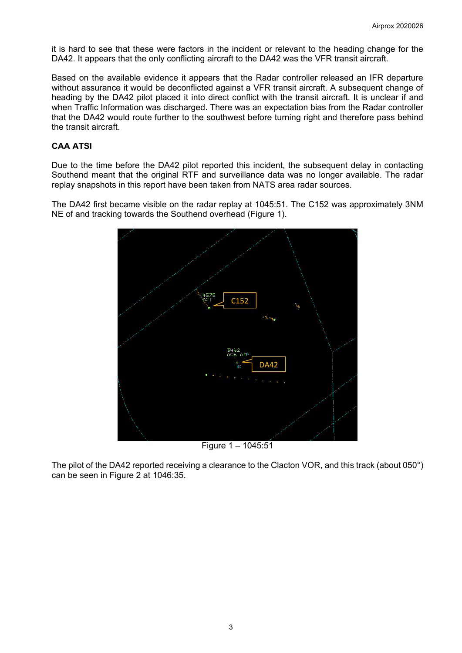it is hard to see that these were factors in the incident or relevant to the heading change for the DA42. It appears that the only conflicting aircraft to the DA42 was the VFR transit aircraft.

Based on the available evidence it appears that the Radar controller released an IFR departure without assurance it would be deconflicted against a VFR transit aircraft. A subsequent change of heading by the DA42 pilot placed it into direct conflict with the transit aircraft. It is unclear if and when Traffic Information was discharged. There was an expectation bias from the Radar controller that the DA42 would route further to the southwest before turning right and therefore pass behind the transit aircraft.

# **CAA ATSI**

Due to the time before the DA42 pilot reported this incident, the subsequent delay in contacting Southend meant that the original RTF and surveillance data was no longer available. The radar replay snapshots in this report have been taken from NATS area radar sources.

The DA42 first became visible on the radar replay at 1045:51. The C152 was approximately 3NM NE of and tracking towards the Southend overhead (Figure 1).



The pilot of the DA42 reported receiving a clearance to the Clacton VOR, and this track (about 050°) can be seen in Figure 2 at 1046:35.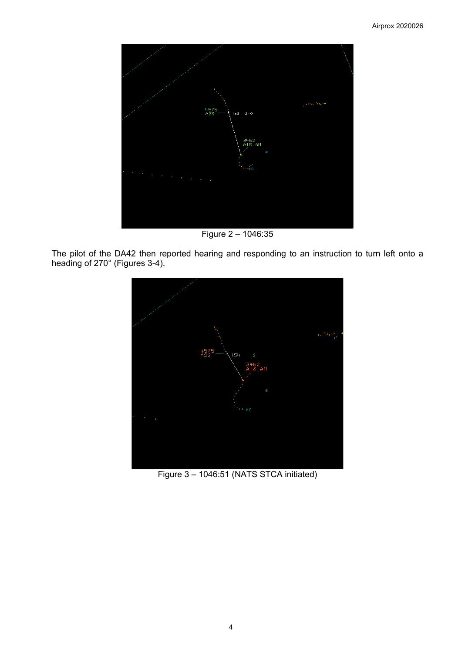

Figure 2 – 1046:35

The pilot of the DA42 then reported hearing and responding to an instruction to turn left onto a heading of 270° (Figures 3-4).



Figure 3 – 1046:51 (NATS STCA initiated)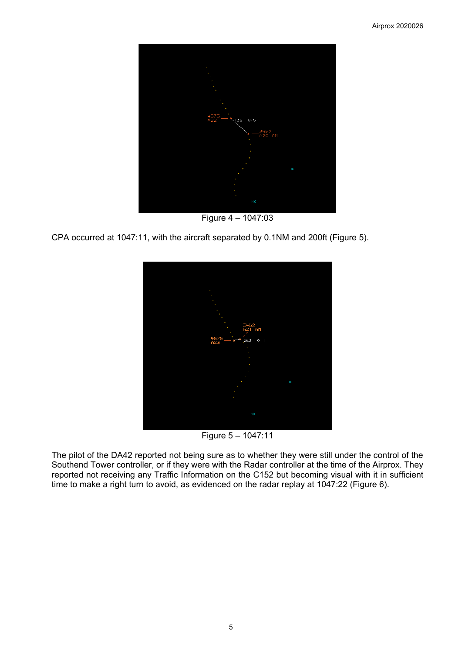

Figure 4 – 1047:03

CPA occurred at 1047:11, with the aircraft separated by 0.1NM and 200ft (Figure 5).



Figure 5 – 1047:11

The pilot of the DA42 reported not being sure as to whether they were still under the control of the Southend Tower controller, or if they were with the Radar controller at the time of the Airprox. They reported not receiving any Traffic Information on the C152 but becoming visual with it in sufficient time to make a right turn to avoid, as evidenced on the radar replay at 1047:22 (Figure 6).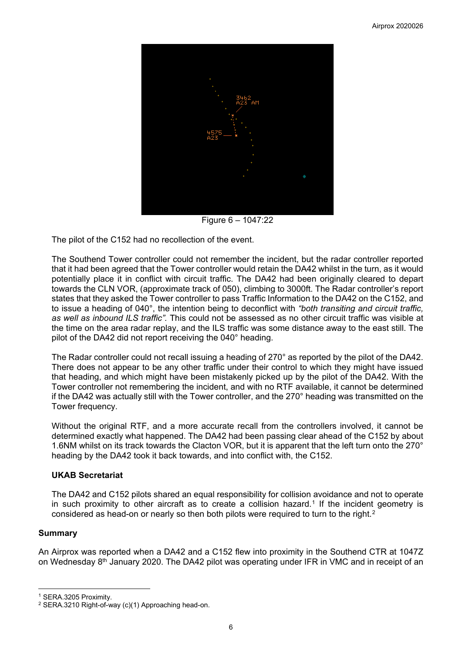

Figure 6 – 1047:22

The pilot of the C152 had no recollection of the event.

The Southend Tower controller could not remember the incident, but the radar controller reported that it had been agreed that the Tower controller would retain the DA42 whilst in the turn, as it would potentially place it in conflict with circuit traffic. The DA42 had been originally cleared to depart towards the CLN VOR, (approximate track of 050), climbing to 3000ft. The Radar controller's report states that they asked the Tower controller to pass Traffic Information to the DA42 on the C152, and to issue a heading of 040°, the intention being to deconflict with *"both transiting and circuit traffic, as well as inbound ILS traffic".* This could not be assessed as no other circuit traffic was visible at the time on the area radar replay, and the ILS traffic was some distance away to the east still. The pilot of the DA42 did not report receiving the 040° heading.

The Radar controller could not recall issuing a heading of 270° as reported by the pilot of the DA42. There does not appear to be any other traffic under their control to which they might have issued that heading, and which might have been mistakenly picked up by the pilot of the DA42. With the Tower controller not remembering the incident, and with no RTF available, it cannot be determined if the DA42 was actually still with the Tower controller, and the 270° heading was transmitted on the Tower frequency.

Without the original RTF, and a more accurate recall from the controllers involved, it cannot be determined exactly what happened. The DA42 had been passing clear ahead of the C152 by about 1.6NM whilst on its track towards the Clacton VOR, but it is apparent that the left turn onto the 270° heading by the DA42 took it back towards, and into conflict with, the C152.

## **UKAB Secretariat**

The DA42 and C152 pilots shared an equal responsibility for collision avoidance and not to operate in such proximity to other aircraft as to create a collision hazard.<sup>[1](#page-5-0)</sup> If the incident geometry is considered as head-on or nearly so then both pilots were required to turn to the right.<sup>[2](#page-5-1)</sup>

## **Summary**

 $\overline{\phantom{a}}$ 

An Airprox was reported when a DA42 and a C152 flew into proximity in the Southend CTR at 1047Z on Wednesday 8th January 2020. The DA42 pilot was operating under IFR in VMC and in receipt of an

<span id="page-5-0"></span><sup>1</sup> SERA.3205 Proximity.

<span id="page-5-1"></span><sup>2</sup> SERA.3210 Right-of-way (c)(1) Approaching head-on.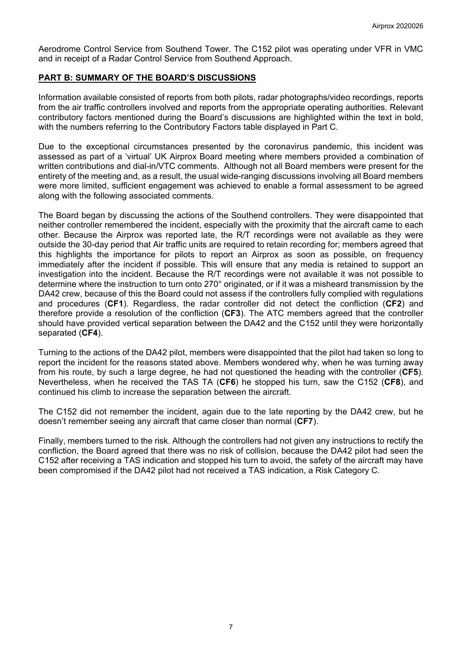Aerodrome Control Service from Southend Tower. The C152 pilot was operating under VFR in VMC and in receipt of a Radar Control Service from Southend Approach.

## **PART B: SUMMARY OF THE BOARD'S DISCUSSIONS**

Information available consisted of reports from both pilots, radar photographs/video recordings, reports from the air traffic controllers involved and reports from the appropriate operating authorities. Relevant contributory factors mentioned during the Board's discussions are highlighted within the text in bold, with the numbers referring to the Contributory Factors table displayed in Part C.

Due to the exceptional circumstances presented by the coronavirus pandemic, this incident was assessed as part of a 'virtual' UK Airprox Board meeting where members provided a combination of written contributions and dial-in/VTC comments. Although not all Board members were present for the entirety of the meeting and, as a result, the usual wide-ranging discussions involving all Board members were more limited, sufficient engagement was achieved to enable a formal assessment to be agreed along with the following associated comments.

The Board began by discussing the actions of the Southend controllers. They were disappointed that neither controller remembered the incident, especially with the proximity that the aircraft came to each other. Because the Airprox was reported late, the R/T recordings were not available as they were outside the 30-day period that Air traffic units are required to retain recording for; members agreed that this highlights the importance for pilots to report an Airprox as soon as possible, on frequency immediately after the incident if possible. This will ensure that any media is retained to support an investigation into the incident. Because the R/T recordings were not available it was not possible to determine where the instruction to turn onto 270° originated, or if it was a misheard transmission by the DA42 crew, because of this the Board could not assess if the controllers fully complied with regulations and procedures (**CF1**). Regardless, the radar controller did not detect the confliction (**CF2**) and therefore provide a resolution of the confliction (**CF3**). The ATC members agreed that the controller should have provided vertical separation between the DA42 and the C152 until they were horizontally separated (**CF4**).

Turning to the actions of the DA42 pilot, members were disappointed that the pilot had taken so long to report the incident for the reasons stated above. Members wondered why, when he was turning away from his route, by such a large degree, he had not questioned the heading with the controller (**CF5**). Nevertheless, when he received the TAS TA (**CF6**) he stopped his turn, saw the C152 (**CF8**), and continued his climb to increase the separation between the aircraft.

The C152 did not remember the incident, again due to the late reporting by the DA42 crew, but he doesn't remember seeing any aircraft that came closer than normal (**CF7**).

Finally, members turned to the risk. Although the controllers had not given any instructions to rectify the confliction, the Board agreed that there was no risk of collision, because the DA42 pilot had seen the C152 after receiving a TAS indication and stopped his turn to avoid, the safety of the aircraft may have been compromised if the DA42 pilot had not received a TAS indication, a Risk Category C.